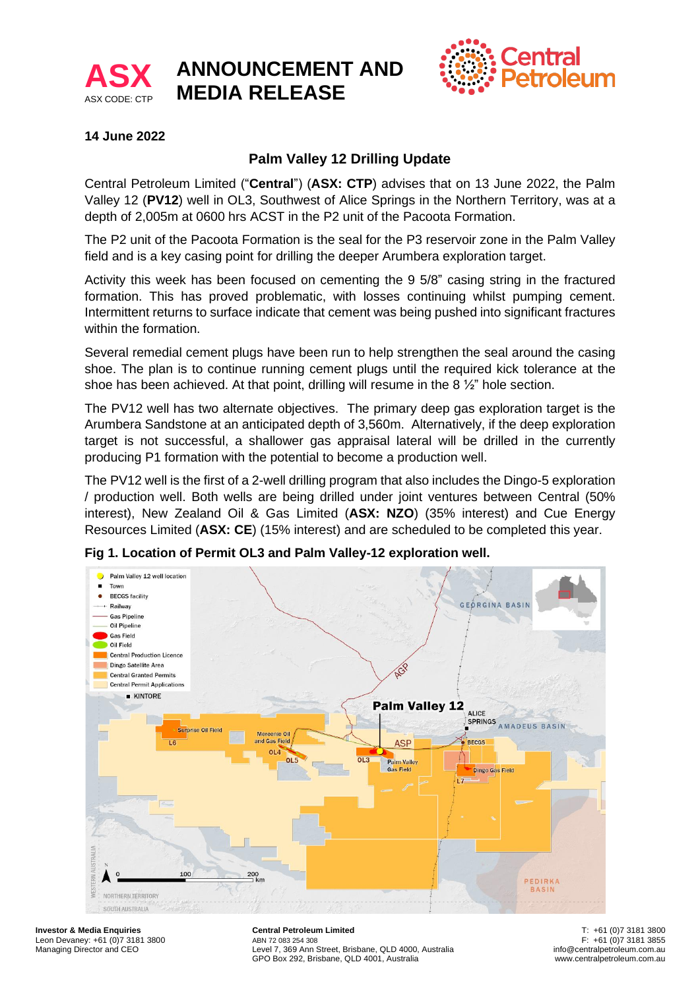

# **ANNOUNCEMENT AND MEDIA RELEASE**



## **14 June 2022**

# **Palm Valley 12 Drilling Update**

Central Petroleum Limited ("**Central**") (**ASX: CTP**) advises that on 13 June 2022, the Palm Valley 12 (**PV12**) well in OL3, Southwest of Alice Springs in the Northern Territory, was at a depth of 2,005m at 0600 hrs ACST in the P2 unit of the Pacoota Formation.

The P2 unit of the Pacoota Formation is the seal for the P3 reservoir zone in the Palm Valley field and is a key casing point for drilling the deeper Arumbera exploration target.

Activity this week has been focused on cementing the 9 5/8" casing string in the fractured formation. This has proved problematic, with losses continuing whilst pumping cement. Intermittent returns to surface indicate that cement was being pushed into significant fractures within the formation.

Several remedial cement plugs have been run to help strengthen the seal around the casing shoe. The plan is to continue running cement plugs until the required kick tolerance at the shoe has been achieved. At that point, drilling will resume in the 8  $\frac{1}{2}$  hole section.

The PV12 well has two alternate objectives. The primary deep gas exploration target is the Arumbera Sandstone at an anticipated depth of 3,560m. Alternatively, if the deep exploration target is not successful, a shallower gas appraisal lateral will be drilled in the currently producing P1 formation with the potential to become a production well.

The PV12 well is the first of a 2-well drilling program that also includes the Dingo-5 exploration / production well. Both wells are being drilled under joint ventures between Central (50% interest), New Zealand Oil & Gas Limited (**ASX: NZO**) (35% interest) and Cue Energy Resources Limited (**ASX: CE**) (15% interest) and are scheduled to be completed this year.



**Fig 1. Location of Permit OL3 and Palm Valley-12 exploration well.**

**Investor & Media Enquiries** Leon Devaney: +61 (0)7 3181 3800 Managing Director and CEO

**Central Petroleum Limited** ABN 72 083 254 308. Level 7, 369 Ann Street, Brisbane, QLD 4000, Australia GPO Box 292, Brisbane, QLD 4001, Australia

T: +61 (0)7 3181 3800 F: +61 (0)7 3181 3855 info@centralpetroleum.com.au www.centralpetroleum.com.au